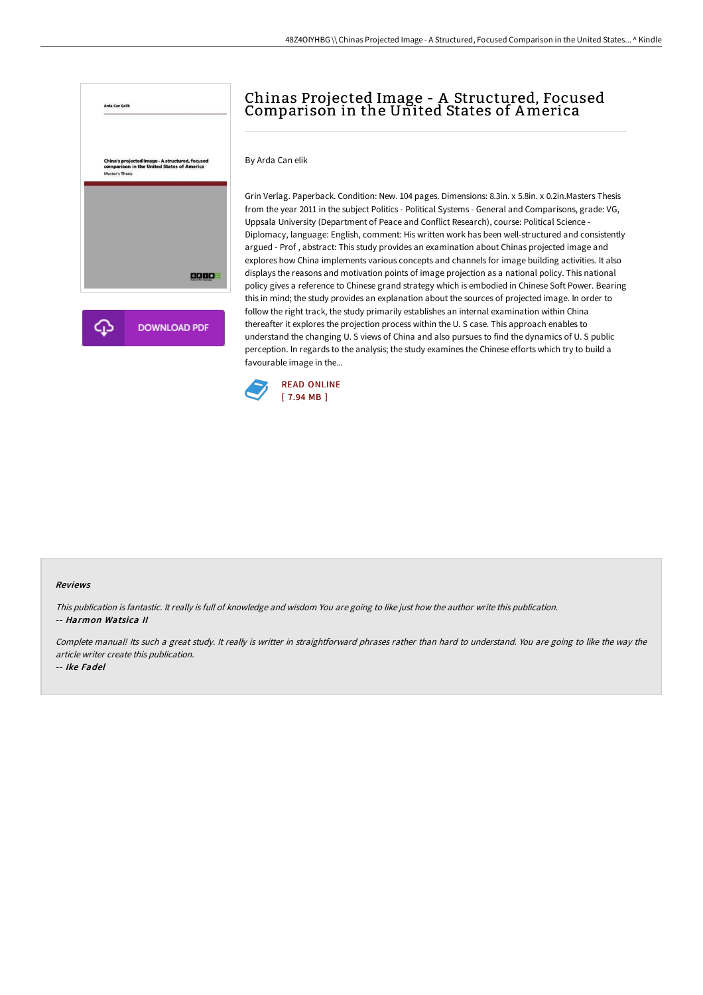

# Chinas Projected Image - A Structured, Focused Comparison in the United States of America

By Arda Can elik

Grin Verlag. Paperback. Condition: New. 104 pages. Dimensions: 8.3in. x 5.8in. x 0.2in.Masters Thesis from the year 2011 in the subject Politics - Political Systems - General and Comparisons, grade: VG, Uppsala University (Department of Peace and Conflict Research), course: Political Science - Diplomacy, language: English, comment: His written work has been well-structured and consistently argued - Prof , abstract: This study provides an examination about Chinas projected image and explores how China implements various concepts and channels for image building activities. It also displays the reasons and motivation points of image projection as a national policy. This national policy gives a reference to Chinese grand strategy which is embodied in Chinese Soft Power. Bearing this in mind; the study provides an explanation about the sources of projected image. In order to follow the right track, the study primarily establishes an internal examination within China thereafter it explores the projection process within the U. S case. This approach enables to understand the changing U. S views of China and also pursues to find the dynamics of U. S public perception. In regards to the analysis; the study examines the Chinese efforts which try to build a favourable image in the...



#### Reviews

This publication is fantastic. It really is full of knowledge and wisdom You are going to like just how the author write this publication. -- Harmon Watsica II

Complete manual! Its such <sup>a</sup> great study. It really is writter in straightforward phrases rather than hard to understand. You are going to like the way the article writer create this publication.

-- Ike Fadel